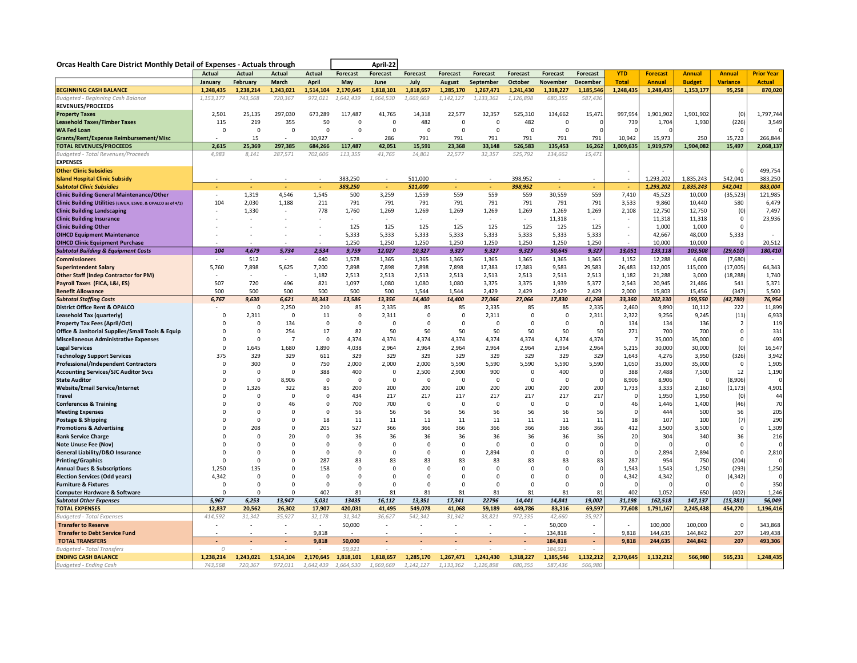| Orcas Health Care District Monthly Detail of Expenses - Actuals through         |                |                      |                    |                            |                    | April-22          |                          |                  |                          |                          |                    |                          |                 |                   |                   |                   |                   |
|---------------------------------------------------------------------------------|----------------|----------------------|--------------------|----------------------------|--------------------|-------------------|--------------------------|------------------|--------------------------|--------------------------|--------------------|--------------------------|-----------------|-------------------|-------------------|-------------------|-------------------|
|                                                                                 | Actual         | <b>Actual</b>        | <b>Actual</b>      | Actual                     | <b>Forecast</b>    | <b>Forecast</b>   | <b>Forecast</b>          | <b>Forecast</b>  | <b>Forecast</b>          | Forecast                 | <b>Forecast</b>    | Forecast                 | <b>YTD</b>      | <b>Forecast</b>   | <b>Annual</b>     | <b>Annual</b>     | <b>Prior Year</b> |
|                                                                                 | January        | February             | March              | April                      | May                | June              | July                     | August           | September                | October                  | November           | December                 | <b>Total</b>    | <b>Annual</b>     | <b>Budget</b>     | <b>Variance</b>   | <b>Actual</b>     |
| <b>BEGINNING CASH BALANCE</b>                                                   | 1,248,435      | 1,238,214            | 1,243,021          | 1,514,104                  | 2,170,645          | 1,818,101         | 1,818,657                | 1,285,170        | 1,267,471                | 1,241,430                | 1,318,227          | 1,185,546                | 1,248,435       | 1,248,435         | 1,153,177         | 95,258            | 870,020           |
| Budgeted - Beginning Cash Balance                                               | 1,153,177      | 743,568              | 720,367            | 972,011                    | 1,642,439          | 1,664,530         | 1,669,669                | 1,142,127        | 1,133,362                | 1,126,898                | 680,355            | 587,436                  |                 |                   |                   |                   |                   |
| <b>REVENUES/PROCEEDS</b>                                                        |                |                      |                    |                            |                    |                   |                          |                  |                          |                          |                    |                          |                 |                   |                   |                   |                   |
| <b>Property Taxes</b>                                                           | 2,501          | 25,135               | 297,030            | 673,289                    | 117,487            | 41,765            | 14,318                   | 22,577           | 32,357                   | 525,310                  | 134,662            | 15,471                   | 997,954         | 1,901,902         | 1,901,902         | (0)               | 1,797,744         |
| <b>Leasehold Taxes/Timber Taxes</b>                                             | 115            | 219                  | 355                | 50                         | $\mathbf 0$        | $\mathsf 0$       | 482                      | $\mathsf 0$      | $\Omega$                 | 482                      | $\mathbf 0$        | C                        | 739             | 1,704             | 1,930             | (226)             | 3,549             |
| <b>WA Fed Loan</b>                                                              | $\Omega$       | $\Omega$             | $\Omega$           | $\Omega$                   | $\Omega$           | $\Omega$          | $\Omega$                 | $\mathbf 0$      | $\Omega$                 | $\Omega$                 | $\mathbf 0$        |                          | $\Omega$        | $\Omega$          |                   | $\Omega$          |                   |
| <b>Grants/Rent/Expense Reimbursement/Misc</b><br><b>TOTAL REVENUES/PROCEEDS</b> |                | 15                   |                    | 10,927                     |                    | 286               | 791                      | 791              | 791                      | 791                      | 791                | 791                      | 10,942          | 15,973            | 250<br>1,904,082  | 15,723            | 266,844           |
| Budgeted - Total Revenues/Proceeds                                              | 2,615<br>4,983 | 25,369<br>8,141      | 297,385<br>287,571 | 684,266<br>702,606         | 117,487<br>113,355 | 42,051<br>41,765  | 15,591<br>14,801         | 23,368<br>22,577 | 33,148<br>32,357         | 526,583<br>525,792       | 135,453<br>134,662 | 16,262<br>15,471         | 1,009,635       | 1,919,579         |                   | 15,497            | 2,068,137         |
| <b>EXPENSES</b>                                                                 |                |                      |                    |                            |                    |                   |                          |                  |                          |                          |                    |                          |                 |                   |                   |                   |                   |
| <b>Other Clinic Subsidies</b>                                                   |                |                      |                    |                            |                    |                   |                          |                  |                          |                          |                    |                          |                 |                   |                   | $\Omega$          | 499,754           |
| <b>Island Hospital Clinic Subsidy</b>                                           |                |                      |                    |                            | 383,250            | $\sim$            | 511,000                  |                  |                          | 398,952                  |                    |                          | ÷.              | 1,293,202         | 1,835,243         | 542,041           | 383,250           |
| <b>Subtotal Clinic Subsidies</b>                                                |                | $\sim$               |                    |                            | 383.250            | ÷.                | 511,000                  |                  |                          | 398,952                  | ÷                  | ÷.                       | $\mathbf{r}$    | 1,293,202         | 1,835,243         | 542,041           | 883,004           |
| <b>Clinic Building General Maintenance/Other</b>                                |                | 1.319                | 4.546              | 1.545                      | 500                | 3,259             | 1,559                    | 559              | 559                      | 559                      | 30,559             | 559                      | 7,410           | 45,523            | 10,000            | (35, 523)         | 121,985           |
| Clinic Building Utilities (EWUA, ESWD, & OPALCO as of 4/1)                      | 104            | 2,030                | 1,188              | 211                        | 791                | 791               | 791                      | 791              | 791                      | 791                      | 791                | 791                      | 3,533           | 9,860             | 10,440            | 580               | 6,479             |
| <b>Clinic Building Landscaping</b>                                              |                | 1,330                |                    | 778                        | 1,760              | 1,269             | 1,269                    | 1,269            | 1,269                    | 1,269                    | 1,269              | 1,269                    | 2,108           | 12,750            | 12,750            | (0)               | 7,497             |
| <b>Clinic Building Insurance</b>                                                |                |                      |                    |                            | $\sim$             | ÷.                | $\overline{\phantom{a}}$ | $\sim$           | $\overline{\phantom{a}}$ | $\sim$                   | 11,318             | $\sim$                   |                 | 11,318            | 11,318            | $\mathbf 0$       | 23,936            |
| <b>Clinic Building Other</b>                                                    |                |                      |                    |                            | 125                | 125               | 125                      | 125              | 125                      | 125                      | 125                | 125                      |                 | 1,000             | 1,000             | $\Omega$          |                   |
| <b>OIHCD Equipment Maintenance</b>                                              |                |                      |                    |                            | 5,333              | 5,333             | 5,333                    | 5,333            | 5,333                    | 5,333                    | 5,333              | 5,333                    |                 | 42,667            | 48,000            | 5,333             | $\sim$            |
| <b>OIHCD Clinic Equipment Purchase</b>                                          |                |                      |                    |                            | 1,250              | 1,250             | 1,250                    | 1,250            | 1,250                    | 1,250                    | 1,250              | 1,250                    |                 | 10,000            | 10,000            | $\Omega$          | 20,512            |
| <b>Subtotal Building &amp; Equipment Costs</b>                                  | 104            | 4,679                | 5.734              | 2.534                      | 9,759              | 12,027            | 10,327                   | 9,327            | 9.327                    | 9,327                    | 50,645             | 9,327                    | 13,051          | 133,118           | 103,508           | (29, 610)         | 180,410           |
| <b>Commissioners</b>                                                            |                | 512                  | $\sim$             | 640                        | 1,578              | 1,365             | 1,365                    | 1,365            | 1,365                    | 1,365                    | 1,365              | 1,365                    | 1,152           | 12,288            | 4,608             | (7,680)           | $\sim$            |
| <b>Superintendent Salary</b>                                                    | 5,760          | 7,898                | 5,625              | 7,200                      | 7,898              | 7,898             | 7,898                    | 7,898            | 17,383                   | 17,383                   | 9,583              | 29,583                   | 26,483          | 132,005           | 115,000           | (17,005)          | 64,343            |
| <b>Other Staff (Indep Contractor for PM)</b>                                    | 507            | 720                  |                    | 1,182<br>821               | 2,513<br>1.097     | 2,513<br>1.080    | 2,513<br>1.080           | 2,513            | 2,513                    | 2,513                    | 2,513              | 2,513                    | 1,182           | 21,288            | 3,000             | (18, 288)         | 1,740             |
| Payroll Taxes (FICA, L&I, ES)                                                   | 500            |                      | 496<br>500         | 500                        | 500                | 500               | 1.544                    | 1.080<br>1.544   | 3,375                    | 3,375                    | 1,939              | 5,377                    | 2,543           | 20.945            | 21,486            | 541<br>(347)      | 5,371<br>5,500    |
| <b>Benefit Allowance</b><br><b>Subtotal Staffing Costs</b>                      | 6,767          | 500<br>9,630         | 6,621              | 10,343                     | 13,586             | 13,356            | 14,400                   | 14,400           | 2,429<br>27,066          | 2,429<br>27,066          | 2,429<br>17,830    | 2,429<br>41,268          | 2,000<br>33,360 | 15,803<br>202,330 | 15,456<br>159,550 | (42, 780)         | 76,954            |
| <b>District Office Rent &amp; OPALCO</b>                                        |                | $\Omega$             | 2,250              | 210                        | 85                 | 2,335             | 85                       | 85               | 2,335                    | 85                       | 85                 | 2,335                    | 2,460           | 9,890             | 10,112            | 222               | 11,899            |
| Leasehold Tax (quarterly)                                                       | $\mathbf 0$    | 2,311                | 0                  | 11                         | $\mathbf 0$        | 2,311             | $\mathbf 0$              | 0                | 2,311                    | $^{\circ}$               | 0                  | 2,311                    | 2,322           | 9,256             | 9,245             | (11)              | 6,933             |
| <b>Property Tax Fees (April/Oct)</b>                                            | 0              | $\mathbf 0$          | 134                | $\mathbf 0$                | $\mathbf 0$        | $\mathbf 0$       | 0                        | 0                | $\mathbf 0$              | $\mathbf 0$              | $\mathbf 0$        |                          | 134             | 134               | 136               | $\overline{2}$    | 119               |
| Office & Janitorial Supplies/Small Tools & Equip                                | $\Omega$       | $\Omega$             | 254                | 17                         | 82                 | 50                | 50                       | 50               | 50                       | 50                       | 50                 | 50                       | 271             | 700               | 700               | $\mathbf 0$       | 331               |
| <b>Miscellaneous Administrative Expenses</b>                                    | $\Omega$       | $\Omega$             | $\overline{7}$     | $\mathbf 0$                | 4,374              | 4,374             | 4,374                    | 4,374            | 4,374                    | 4,374                    | 4,374              | 4,374                    | $\overline{7}$  | 35,000            | 35,000            | $\mathbf 0$       | 493               |
| <b>Legal Services</b>                                                           | $\Omega$       | 1,645                | 1,680              | 1,890                      | 4,038              | 2,964             | 2,964                    | 2,964            | 2,964                    | 2,964                    | 2,964              | 2,964                    | 5,215           | 30,000            | 30,000            | (0)               | 16,547            |
| <b>Technology Support Services</b>                                              | 375            | 329                  | 329                | 611                        | 329                | 329               | 329                      | 329              | 329                      | 329                      | 329                | 329                      | 1,643           | 4,276             | 3,950             | (326)             | 3,942             |
| <b>Professional/Independent Contractors</b>                                     | $\Omega$       | 300                  | 0                  | 750                        | 2,000              | 2,000             | 2,000                    | 5,590            | 5,590                    | 5,590                    | 5,590              | 5,590                    | 1,050           | 35,000            | 35,000            | $\Omega$          | 1,905             |
| <b>Accounting Services/SJC Auditor Svcs</b>                                     | $\Omega$       | $\Omega$             | $\Omega$           | 388                        | 400                | $\mathbf 0$       | 2,500                    | 2.900            | 900                      | $\mathbf 0$              | 400                | C                        | 388             | 7,488             | 7,500             | 12                | 1,190             |
| <b>State Auditor</b>                                                            |                | $\Omega$             | 8,906              | $\Omega$                   | $\Omega$           | $\Omega$          | $\Omega$                 | $\Omega$         | $\Omega$                 | $\Omega$                 | 0                  | $\Omega$                 | 8,906           | 8,906             |                   | (8,906)           | $\Omega$          |
| <b>Website/Email Service/Internet</b>                                           |                | 1,326                | 322                | 85                         | 200                | 200               | 200                      | 200              | 200                      | 200                      | 200                | 200                      | 1,733           | 3,333             | 2,160             | (1, 173)          | 4,901             |
| <b>Travel</b>                                                                   | $\Omega$       | $\Omega$             | $\mathbf 0$        | $\Omega$                   | 434                | 217               | 217                      | 217              | 217                      | 217                      | 217                | 217                      | $\Omega$        | 1,950             | 1,950             | (0)               | 44                |
| <b>Conferences &amp; Training</b>                                               | $\Omega$       | $\Omega$             | 46                 | $\Omega$                   | 700                | 700               | 0                        | 0                | $\Omega$                 | $\Omega$                 | $\mathbf 0$        | C                        | 46              | 1,446             | 1,400             | (46)              | 70                |
| <b>Meeting Expenses</b>                                                         |                | $\Omega$             | $\mathbf 0$        | $\mathbf 0$                | 56                 | 56                | 56                       | 56               | 56                       | 56                       | 56                 | 56                       | $\mathbf 0$     | 444               | 500               | 56                | 205               |
| Postage & Shipping                                                              |                | $\Omega$             | $\Omega$           | 18                         | 11                 | 11                | 11                       | 11               | 11                       | 11                       | 11                 | 11                       | 18              | 107               | 100               | (7)               | 290               |
| <b>Promotions &amp; Advertising</b>                                             | $\Omega$       | 208                  | $\mathbf 0$        | 205                        | 527                | 366               | 366                      | 366              | 366                      | 366                      | 366                | 366                      | 412             | 3,500             | 3,500             | $\mathbf 0$       | 1,309             |
| <b>Bank Service Charge</b>                                                      |                | $\Omega$<br>$\Omega$ | 20<br>$\mathbf 0$  | $\mathbf 0$<br>$\mathbf 0$ | 36<br>0            | 36<br>$\mathbf 0$ | 36<br>$\mathbf 0$        | 36<br>0          | 36<br>$\Omega$           | 36<br>$^{\circ}$         | 36<br>$\mathbf 0$  | 36                       | 20              | 304               | 340               | 36<br>$\mathbf 0$ | 216               |
| <b>Note Unuse Fee (Nov)</b><br><b>General Liability/D&amp;O Insurance</b>       | $\Omega$       | $\Omega$             | $\Omega$           | $\Omega$                   | $\Omega$           | $\Omega$          | $\Omega$                 | $\Omega$         | 2,894                    | $\Omega$                 | $\Omega$           | n                        | 0<br>$\Omega$   | 0<br>2,894        | 2,894             | $\Omega$          | 2,810             |
| <b>Printing/Graphics</b>                                                        | $\Omega$       | $\Omega$             | $\Omega$           | 287                        | 83                 | 83                | 83                       | 83               | 83                       | 83                       | 83                 | 83                       | 287             | 954               | 750               | (204)             |                   |
| <b>Annual Dues &amp; Subscriptions</b>                                          | 1,250          | 135                  | 0                  | 158                        | $\Omega$           | $\Omega$          | $\Omega$                 | $\Omega$         | $\Omega$                 | $\Omega$                 | $\Omega$           |                          | 1,543           | 1,543             | 1,250             | (293)             | 1,250             |
| <b>Election Services (Odd years)</b>                                            | 4,342          | $\Omega$             | $\mathbf 0$        | $\mathbf 0$                | $\Omega$           | 0                 | $\Omega$                 | $\Omega$         | $\Omega$                 | 0                        | 0                  | n                        | 4,342           | 4,342             | - 0               | (4, 342)          |                   |
| <b>Furniture &amp; Fixtures</b>                                                 | $\Omega$       | $\Omega$             | $\Omega$           | $\Omega$                   | $\Omega$           | $\Omega$          | $\Omega$                 | $\Omega$         | $\Omega$                 | $\Omega$                 | $\Omega$           |                          | $\Omega$        | $\Omega$          |                   | $\Omega$          | 350               |
| <b>Computer Hardware &amp; Software</b>                                         | $\Omega$       | $\Omega$             | $\Omega$           | 402                        | 81                 | 81                | 81                       | 81               | 81                       | 81                       | 81                 | 81                       | 402             | 1,052             | 650               | (402)             | 1,246             |
| <b>Subtotal Other Expenses</b>                                                  | 5,967          | 6,253                | 13,947             | 5,031                      | 13435              | 16,112            | 13,351                   | 17,341           | 22796                    | 14,441                   | 14,841             | 19,002                   | 31,198          | 162,518           | 147,137           | (15, 381)         | 56,049            |
| <b>TOTAL EXPENSES</b>                                                           | 12,837         | 20,562               | 26,302             | 17,907                     | 420,031            | 41,495            | 549,078                  | 41,068           | 59,189                   | 449,786                  | 83,316             | 69,597                   | 77,608          | 1,791,167         | 2,245,438         | 454,270           | 1,196,416         |
| <b>Budgeted - Total Expenses</b>                                                | 414,592        | 31,342               | 35,927             | 32,178                     | 31,342             | 36,627            | 542,342                  | 31,342           | 38,821                   | 972,335                  | 42,660             | 35,927                   |                 |                   |                   |                   |                   |
| <b>Transfer to Reserve</b>                                                      |                |                      |                    | $\overline{\phantom{a}}$   | 50,000             | ä,                | ÷,                       |                  |                          | $\overline{\phantom{a}}$ | 50,000             | $\overline{\phantom{a}}$ |                 | 100,000           | 100,000           | $\mathbf 0$       | 343,868           |
| <b>Transfer to Debt Service Fund</b>                                            |                |                      |                    | 9,818                      |                    | ÷                 |                          |                  |                          | $\overline{\phantom{a}}$ | 134,818            | $\sim$                   | 9,818           | 144,635           | 144,842           | 207               | 149,438           |
| <b>TOTAL TRANSFERS</b>                                                          |                |                      |                    | 9,818                      | 50,000             |                   |                          |                  |                          |                          | 184,818            | $\blacksquare$           | 9,818           | 244,635           | 244,842           | 207               | 493,306           |
| <b>Budgeted - Total Transfers</b>                                               | $\Omega$       |                      |                    |                            | 59,921             |                   |                          |                  |                          |                          | 184,921            |                          |                 |                   |                   |                   |                   |
| <b>ENDING CASH BALANCE</b>                                                      | 1.238.214      | 1.243.021            | 1.514.104          | 2,170,645                  | 1,818,101          | 1.818.657         | 1,285,170                | 1,267,471        | 1,241,430                | 1.318.227                | 1,185,546          | 1.132.212                | 2,170,645       | 1,132,212         | 566.980           | 565.231           | 1,248,435         |
| Budgeted - Ending Cash                                                          | 743.568        | 720.367              | 972,011            | 1,642,439                  | 1,664,530          | 1.669.669         | 1.142.127                | 1,133,362        | 1.126.898                | 680.355                  | 587.436            | 566,980                  |                 |                   |                   |                   |                   |